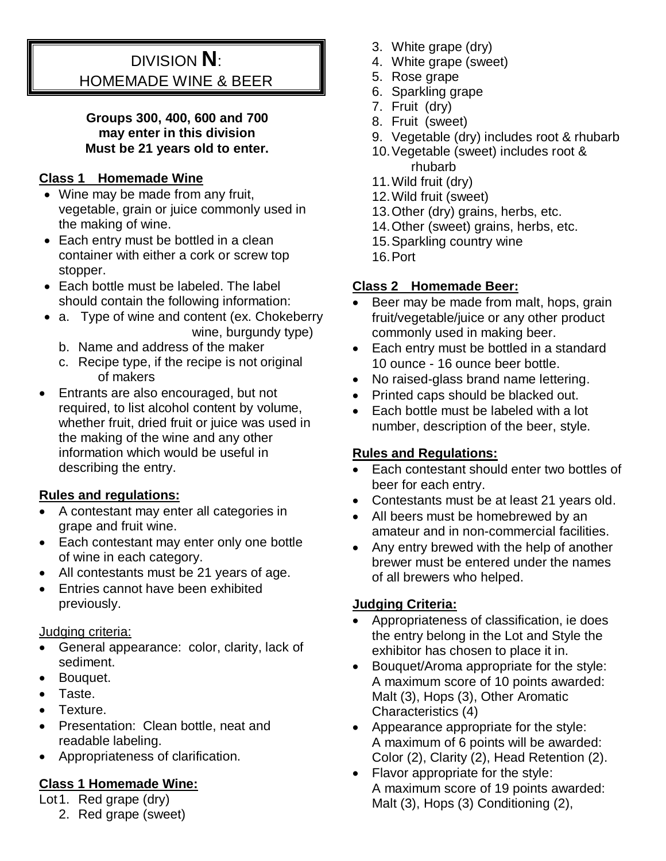# DIVISION **N**: HOMEMADE WINE & BEER

#### **Groups 300, 400, 600 and 700 may enter in this division Must be 21 years old to enter.**

## **Class 1 Homemade Wine**

- Wine may be made from any fruit, vegetable, grain or juice commonly used in the making of wine.
- Each entry must be bottled in a clean container with either a cork or screw top stopper.
- Each bottle must be labeled. The label should contain the following information:
- a. Type of wine and content (ex. Chokeberry wine, burgundy type)
	- b. Name and address of the maker
	- c. Recipe type, if the recipe is not original of makers
- Entrants are also encouraged, but not required, to list alcohol content by volume, whether fruit, dried fruit or juice was used in the making of the wine and any other information which would be useful in describing the entry.

## **Rules and regulations:**

- A contestant may enter all categories in grape and fruit wine.
- Each contestant may enter only one bottle of wine in each category.
- All contestants must be 21 years of age.
- Entries cannot have been exhibited previously.

## Judging criteria:

- General appearance: color, clarity, lack of sediment.
- Bouquet.
- Taste.
- Texture.
- Presentation: Clean bottle, neat and readable labeling.
- Appropriateness of clarification.

# **Class 1 Homemade Wine:**

- Lot1. Red grape (dry)
	- 2. Red grape (sweet)
- 3. White grape (dry)
- 4. White grape (sweet)
- 5. Rose grape
- 6. Sparkling grape
- 7. Fruit (dry)
- 8. Fruit (sweet)
- 9. Vegetable (dry) includes root & rhubarb
- 10.Vegetable (sweet) includes root & rhubarb
- 11.Wild fruit (dry)
- 12.Wild fruit (sweet)
- 13.Other (dry) grains, herbs, etc.
- 14.Other (sweet) grains, herbs, etc.
- 15.Sparkling country wine
- 16.Port

# **Class 2 Homemade Beer:**

- Beer may be made from malt, hops, grain fruit/vegetable/juice or any other product commonly used in making beer.
- Each entry must be bottled in a standard 10 ounce - 16 ounce beer bottle.
- No raised-glass brand name lettering.
- Printed caps should be blacked out.
- Each bottle must be labeled with a lot number, description of the beer, style.

# **Rules and Regulations:**

- Each contestant should enter two bottles of beer for each entry.
- Contestants must be at least 21 years old.
- All beers must be homebrewed by an amateur and in non-commercial facilities.
- Any entry brewed with the help of another brewer must be entered under the names of all brewers who helped.

## **Judging Criteria:**

- Appropriateness of classification, ie does the entry belong in the Lot and Style the exhibitor has chosen to place it in.
- Bouquet/Aroma appropriate for the style: A maximum score of 10 points awarded: Malt (3), Hops (3), Other Aromatic Characteristics (4)
- Appearance appropriate for the style: A maximum of 6 points will be awarded: Color (2), Clarity (2), Head Retention (2).
- Flavor appropriate for the style: A maximum score of 19 points awarded: Malt (3), Hops (3) Conditioning (2),